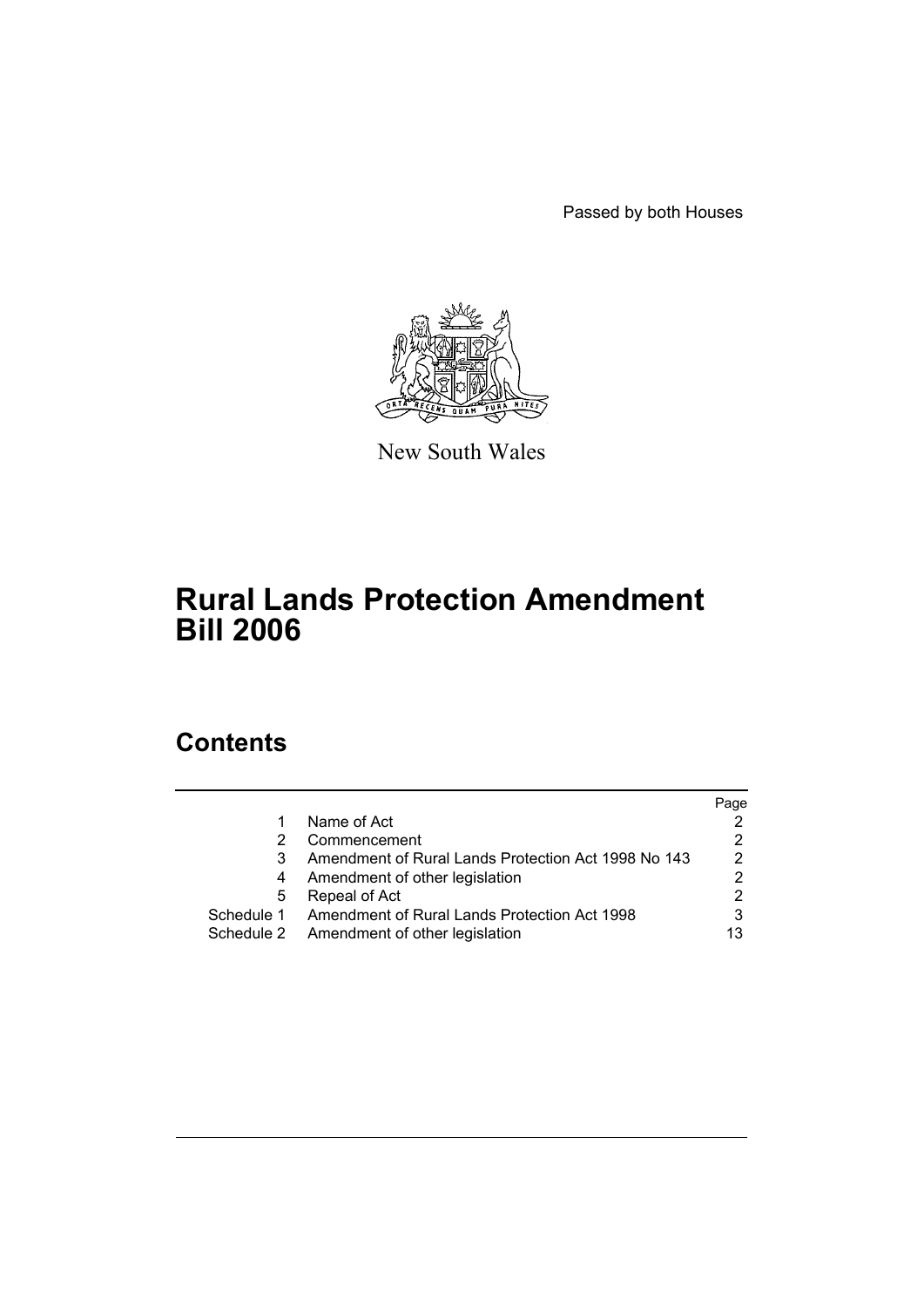Passed by both Houses



New South Wales

# **Rural Lands Protection Amendment Bill 2006**

# **Contents**

|                                                     | Page |
|-----------------------------------------------------|------|
| Name of Act                                         |      |
| Commencement                                        |      |
| Amendment of Rural Lands Protection Act 1998 No 143 | 2    |
| Amendment of other legislation                      |      |
| Repeal of Act                                       | 2    |
| Amendment of Rural Lands Protection Act 1998        |      |
| Schedule 2 Amendment of other legislation           | 13   |
|                                                     |      |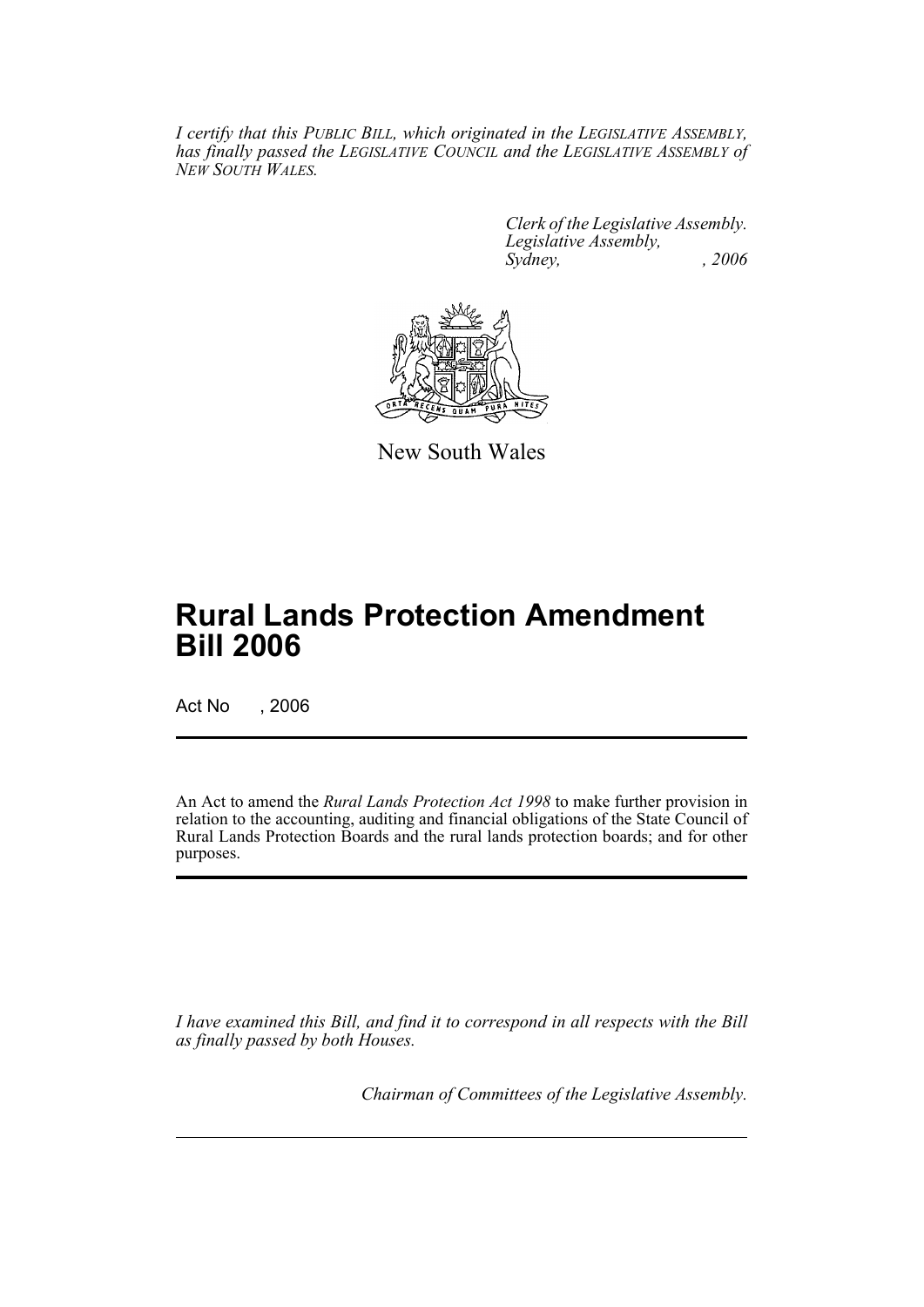*I certify that this PUBLIC BILL, which originated in the LEGISLATIVE ASSEMBLY, has finally passed the LEGISLATIVE COUNCIL and the LEGISLATIVE ASSEMBLY of NEW SOUTH WALES.*

> *Clerk of the Legislative Assembly. Legislative Assembly, Sydney, , 2006*



New South Wales

# **Rural Lands Protection Amendment Bill 2006**

Act No , 2006

An Act to amend the *Rural Lands Protection Act 1998* to make further provision in relation to the accounting, auditing and financial obligations of the State Council of Rural Lands Protection Boards and the rural lands protection boards; and for other purposes.

*I have examined this Bill, and find it to correspond in all respects with the Bill as finally passed by both Houses.*

*Chairman of Committees of the Legislative Assembly.*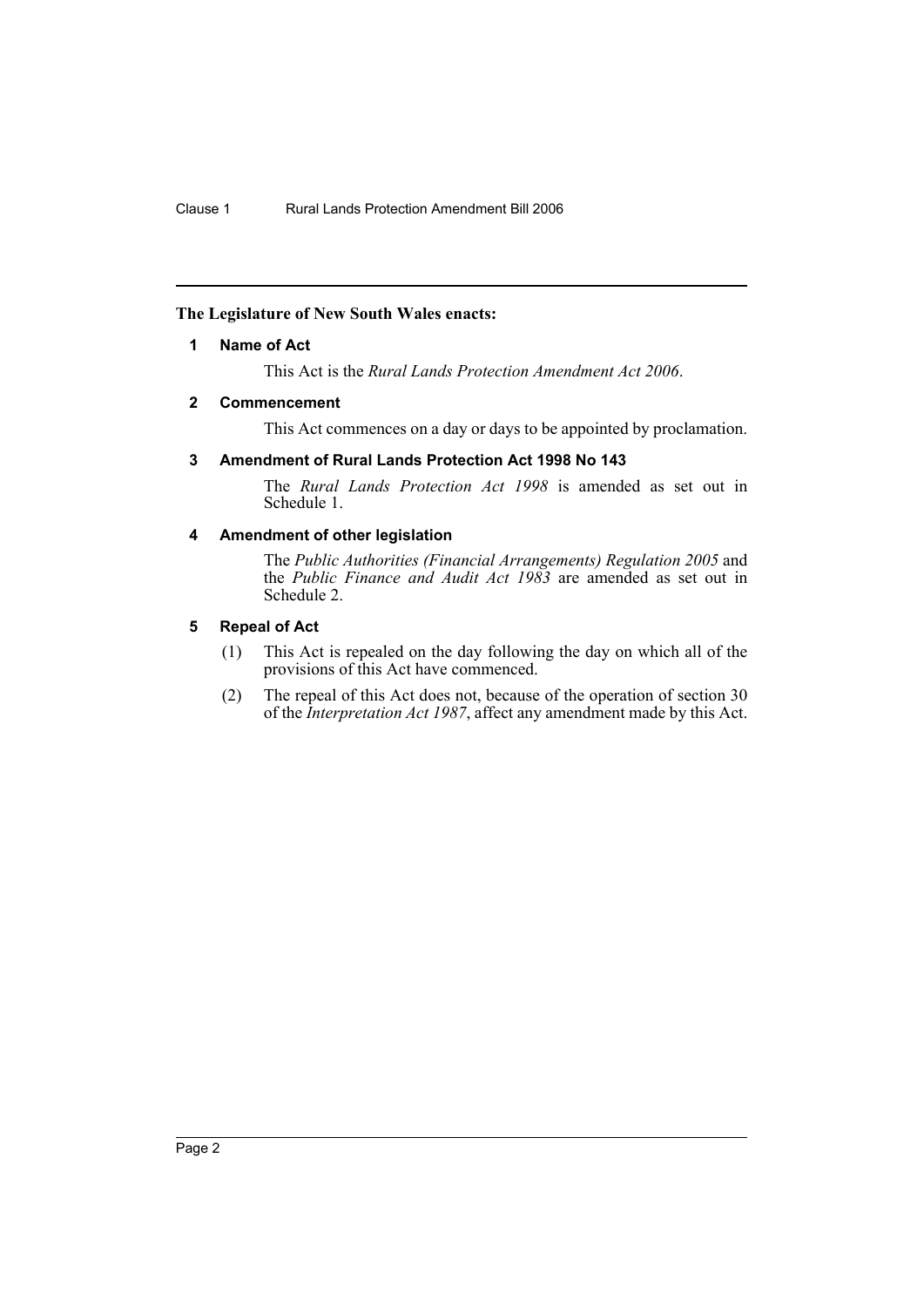## **The Legislature of New South Wales enacts:**

## **1 Name of Act**

This Act is the *Rural Lands Protection Amendment Act 2006*.

## **2 Commencement**

This Act commences on a day or days to be appointed by proclamation.

## **3 Amendment of Rural Lands Protection Act 1998 No 143**

The *Rural Lands Protection Act 1998* is amended as set out in Schedule 1.

## **4 Amendment of other legislation**

The *Public Authorities (Financial Arrangements) Regulation 2005* and the *Public Finance and Audit Act 1983* are amended as set out in Schedule 2.

## **5 Repeal of Act**

- (1) This Act is repealed on the day following the day on which all of the provisions of this Act have commenced.
- (2) The repeal of this Act does not, because of the operation of section 30 of the *Interpretation Act 1987*, affect any amendment made by this Act.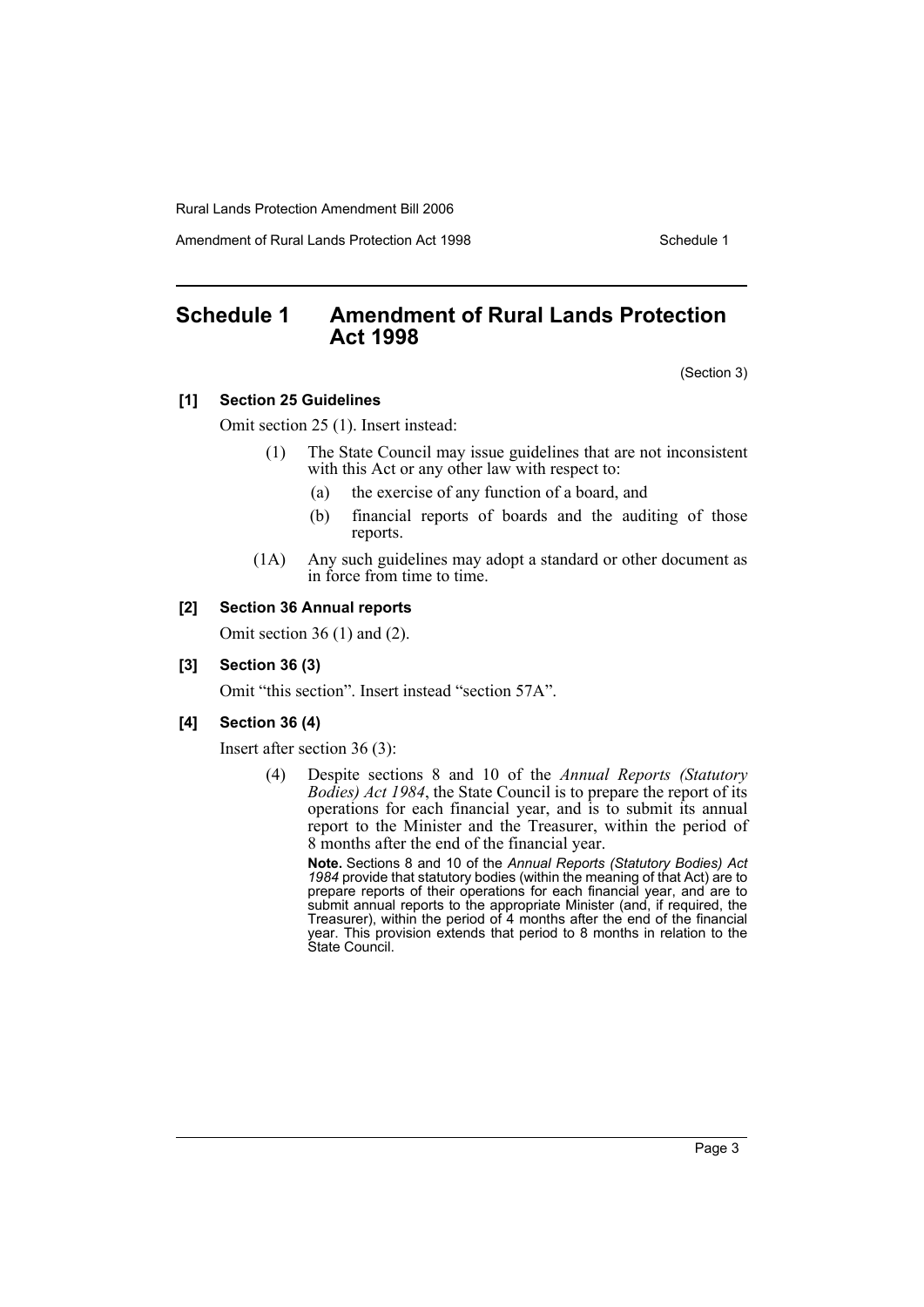Amendment of Rural Lands Protection Act 1998 Schedule 1

## **Schedule 1 Amendment of Rural Lands Protection Act 1998**

(Section 3)

#### **[1] Section 25 Guidelines**

Omit section 25 (1). Insert instead:

- (1) The State Council may issue guidelines that are not inconsistent with this Act or any other law with respect to:
	- (a) the exercise of any function of a board, and
	- (b) financial reports of boards and the auditing of those reports.
- (1A) Any such guidelines may adopt a standard or other document as in force from time to time.

## **[2] Section 36 Annual reports**

Omit section 36 (1) and (2).

### **[3] Section 36 (3)**

Omit "this section". Insert instead "section 57A".

## **[4] Section 36 (4)**

Insert after section 36 (3):

(4) Despite sections 8 and 10 of the *Annual Reports (Statutory Bodies) Act 1984*, the State Council is to prepare the report of its operations for each financial year, and is to submit its annual report to the Minister and the Treasurer, within the period of 8 months after the end of the financial year.

**Note.** Sections 8 and 10 of the *Annual Reports (Statutory Bodies) Act 1984* provide that statutory bodies (within the meaning of that Act) are to prepare reports of their operations for each financial year, and are to submit annual reports to the appropriate Minister (and, if required, the Treasurer), within the period of 4 months after the end of the financial year. This provision extends that period to 8 months in relation to the State Council.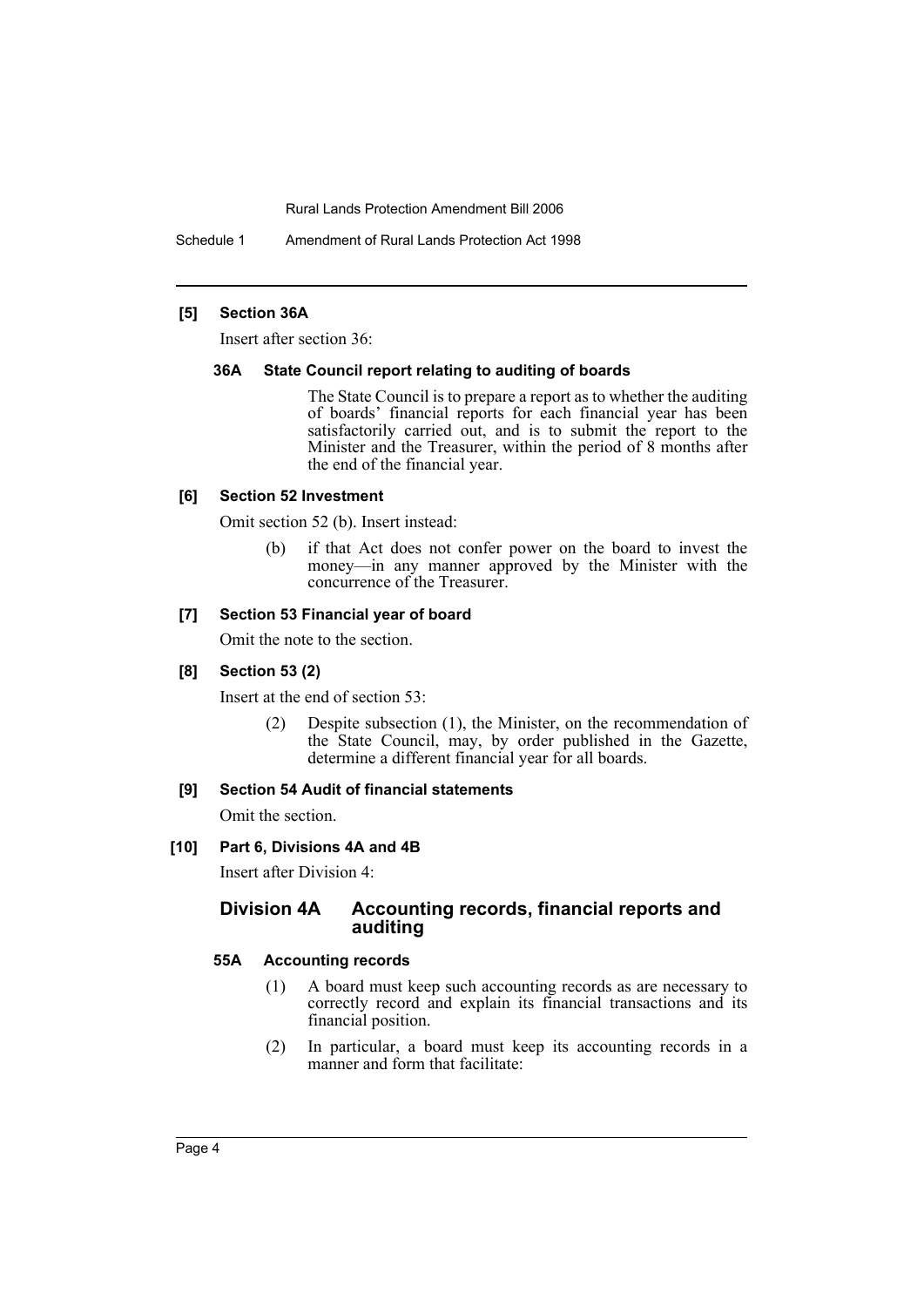Schedule 1 Amendment of Rural Lands Protection Act 1998

## **[5] Section 36A**

Insert after section 36:

#### **36A State Council report relating to auditing of boards**

The State Council is to prepare a report as to whether the auditing of boards' financial reports for each financial year has been satisfactorily carried out, and is to submit the report to the Minister and the Treasurer, within the period of 8 months after the end of the financial year.

#### **[6] Section 52 Investment**

Omit section 52 (b). Insert instead:

(b) if that Act does not confer power on the board to invest the money—in any manner approved by the Minister with the concurrence of the Treasurer.

#### **[7] Section 53 Financial year of board**

Omit the note to the section.

#### **[8] Section 53 (2)**

Insert at the end of section 53:

(2) Despite subsection (1), the Minister, on the recommendation of the State Council, may, by order published in the Gazette, determine a different financial year for all boards.

#### **[9] Section 54 Audit of financial statements**

Omit the section.

#### **[10] Part 6, Divisions 4A and 4B**

Insert after Division 4:

## **Division 4A Accounting records, financial reports and auditing**

#### **55A Accounting records**

- (1) A board must keep such accounting records as are necessary to correctly record and explain its financial transactions and its financial position.
- (2) In particular, a board must keep its accounting records in a manner and form that facilitate: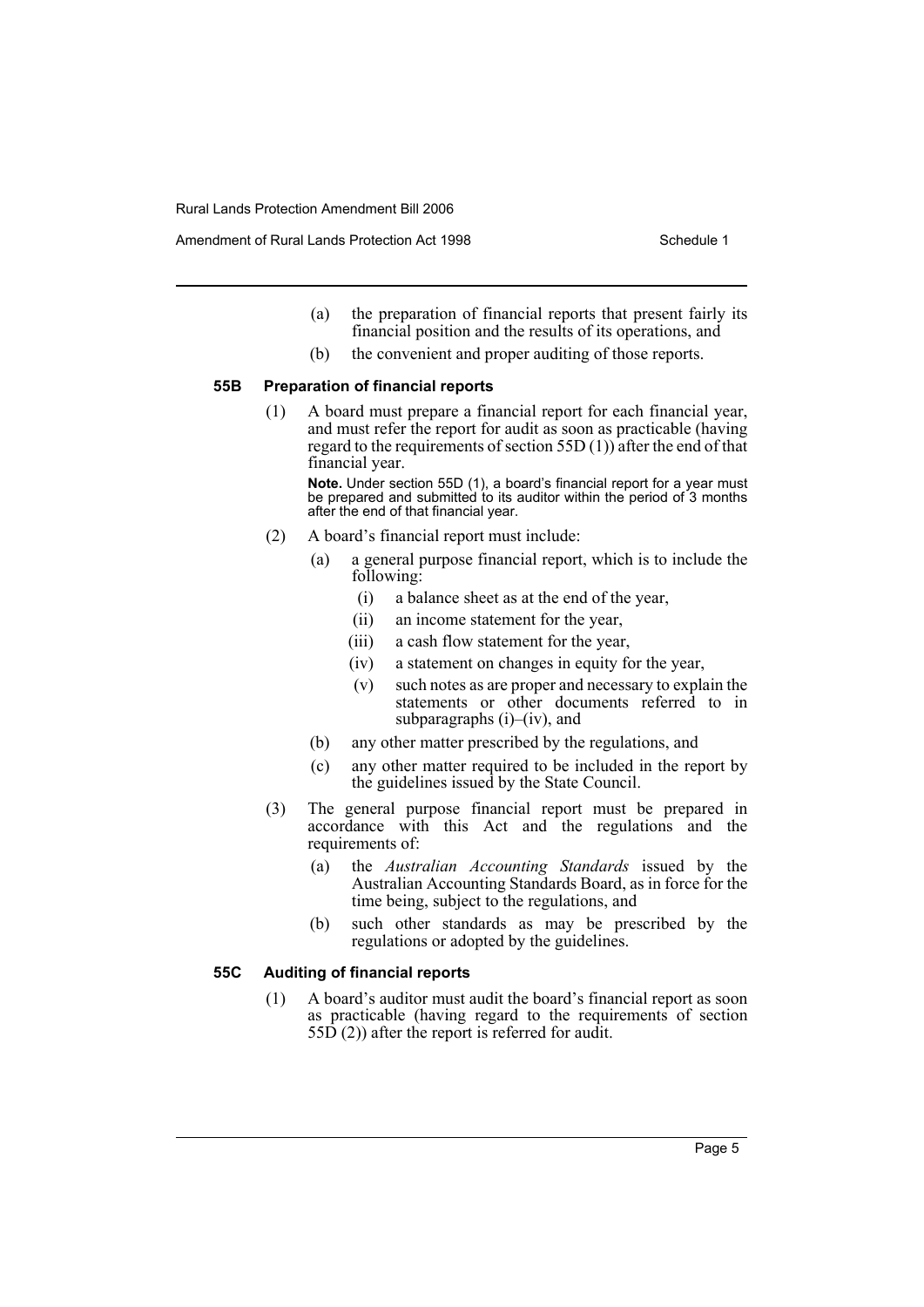- (a) the preparation of financial reports that present fairly its financial position and the results of its operations, and
- (b) the convenient and proper auditing of those reports.

## **55B Preparation of financial reports**

(1) A board must prepare a financial report for each financial year, and must refer the report for audit as soon as practicable (having regard to the requirements of section  $55D(1)$  after the end of that financial year.

**Note.** Under section 55D (1), a board's financial report for a year must be prepared and submitted to its auditor within the period of 3 months after the end of that financial year.

- (2) A board's financial report must include:
	- (a) a general purpose financial report, which is to include the following:
		- (i) a balance sheet as at the end of the year,
		- (ii) an income statement for the year,
		- (iii) a cash flow statement for the year,
		- (iv) a statement on changes in equity for the year,
		- (v) such notes as are proper and necessary to explain the statements or other documents referred to in subparagraphs (i)–(iv), and
	- (b) any other matter prescribed by the regulations, and
	- (c) any other matter required to be included in the report by the guidelines issued by the State Council.
- (3) The general purpose financial report must be prepared in accordance with this Act and the regulations and the requirements of:
	- (a) the *Australian Accounting Standards* issued by the Australian Accounting Standards Board, as in force for the time being, subject to the regulations, and
	- (b) such other standards as may be prescribed by the regulations or adopted by the guidelines.

#### **55C Auditing of financial reports**

(1) A board's auditor must audit the board's financial report as soon as practicable (having regard to the requirements of section 55D (2)) after the report is referred for audit.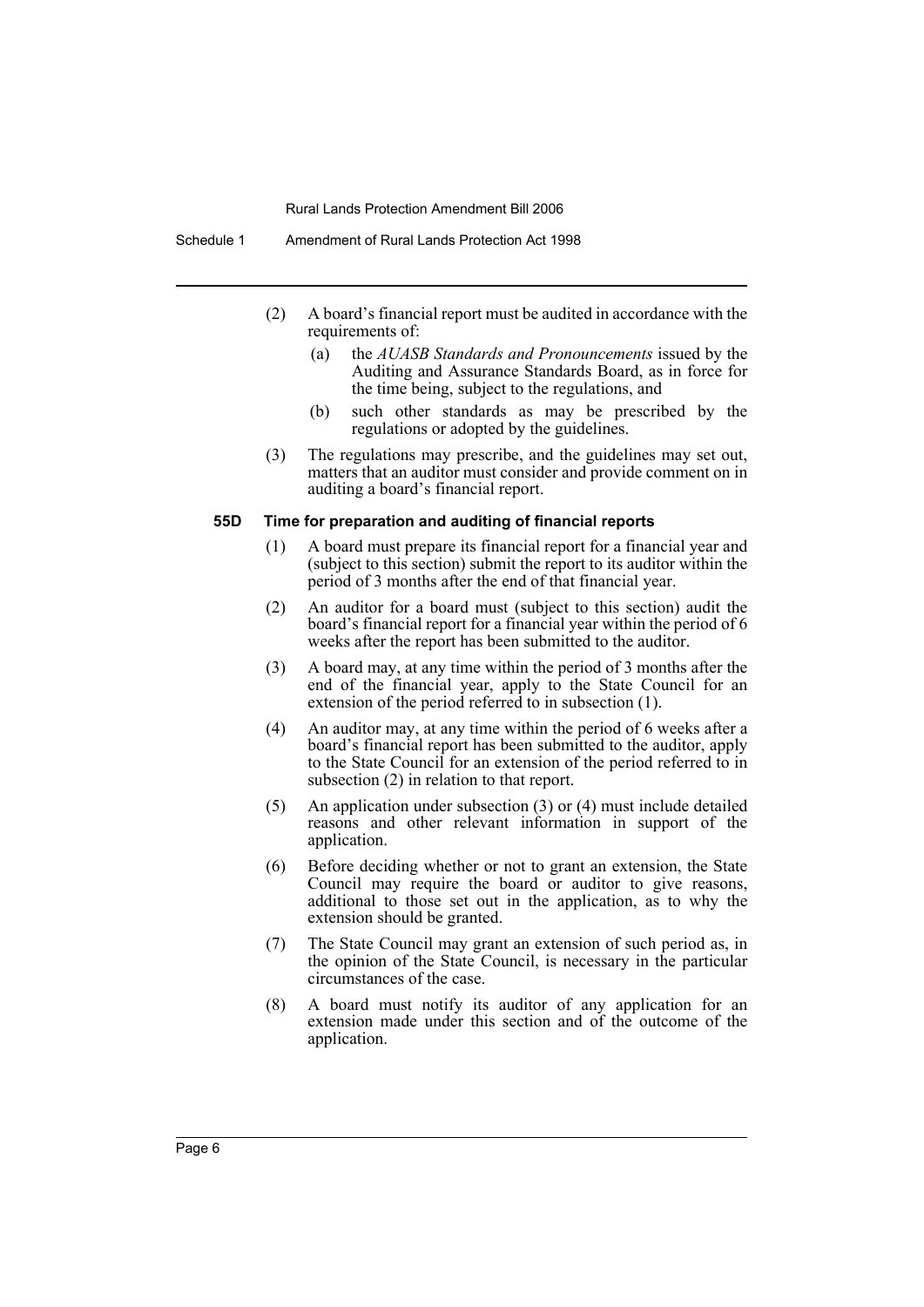- (2) A board's financial report must be audited in accordance with the requirements of:
	- (a) the *AUASB Standards and Pronouncements* issued by the Auditing and Assurance Standards Board, as in force for the time being, subject to the regulations, and
	- (b) such other standards as may be prescribed by the regulations or adopted by the guidelines.
- (3) The regulations may prescribe, and the guidelines may set out, matters that an auditor must consider and provide comment on in auditing a board's financial report.

## **55D Time for preparation and auditing of financial reports**

- (1) A board must prepare its financial report for a financial year and (subject to this section) submit the report to its auditor within the period of 3 months after the end of that financial year.
- (2) An auditor for a board must (subject to this section) audit the board's financial report for a financial year within the period of 6 weeks after the report has been submitted to the auditor.
- (3) A board may, at any time within the period of 3 months after the end of the financial year, apply to the State Council for an extension of the period referred to in subsection (1).
- (4) An auditor may, at any time within the period of 6 weeks after a board's financial report has been submitted to the auditor, apply to the State Council for an extension of the period referred to in subsection (2) in relation to that report.
- (5) An application under subsection (3) or (4) must include detailed reasons and other relevant information in support of the application.
- (6) Before deciding whether or not to grant an extension, the State Council may require the board or auditor to give reasons, additional to those set out in the application, as to why the extension should be granted.
- (7) The State Council may grant an extension of such period as, in the opinion of the State Council, is necessary in the particular circumstances of the case.
- (8) A board must notify its auditor of any application for an extension made under this section and of the outcome of the application.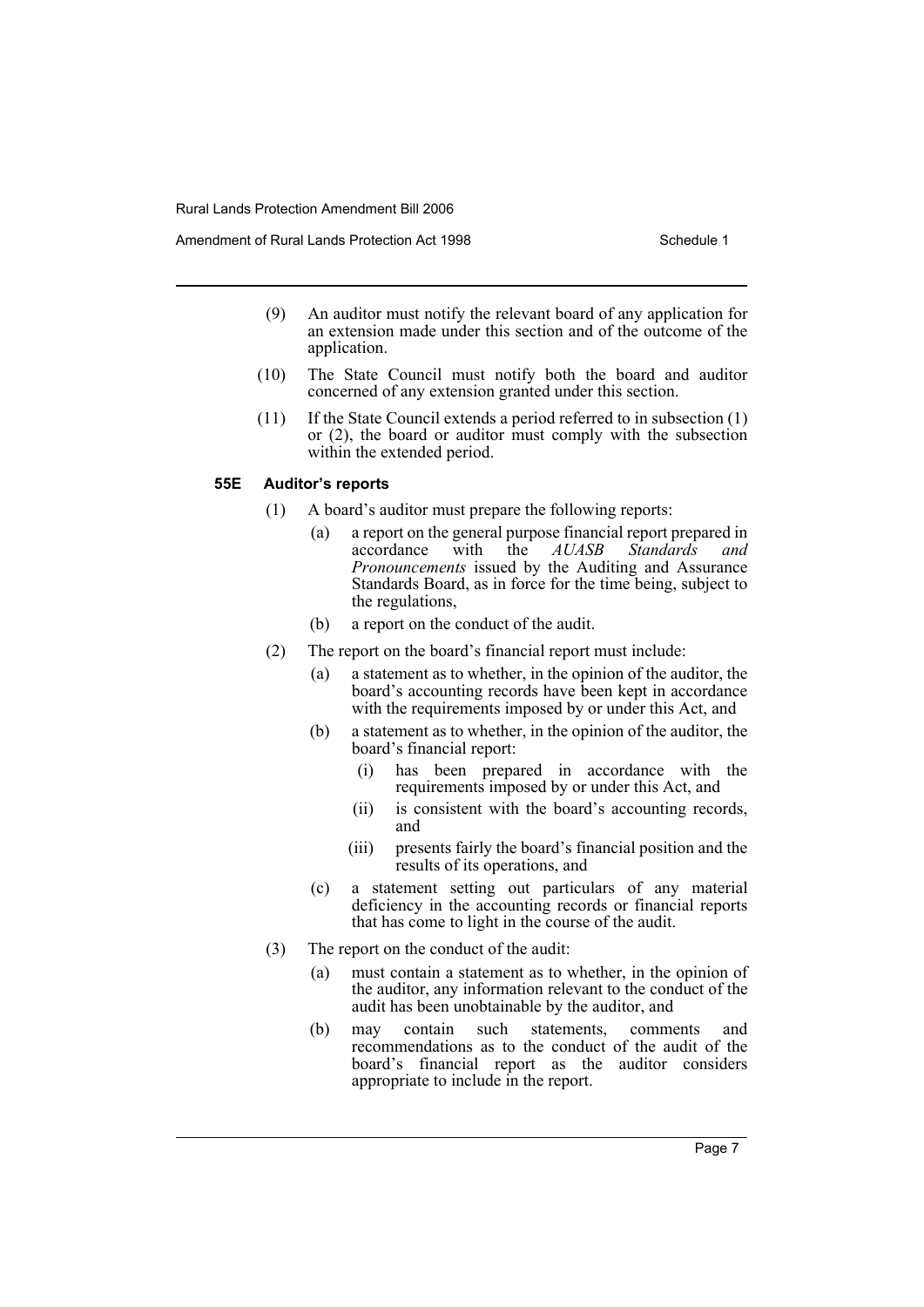Amendment of Rural Lands Protection Act 1998 New Schedule 1

- (9) An auditor must notify the relevant board of any application for an extension made under this section and of the outcome of the application.
- (10) The State Council must notify both the board and auditor concerned of any extension granted under this section.
- (11) If the State Council extends a period referred to in subsection (1) or (2), the board or auditor must comply with the subsection within the extended period.

#### **55E Auditor's reports**

- (1) A board's auditor must prepare the following reports:
	- (a) a report on the general purpose financial report prepared in accordance with the  $AUASB$  Standards and the *AUASB Pronouncements* issued by the Auditing and Assurance Standards Board, as in force for the time being, subject to the regulations,
	- (b) a report on the conduct of the audit.
- (2) The report on the board's financial report must include:
	- (a) a statement as to whether, in the opinion of the auditor, the board's accounting records have been kept in accordance with the requirements imposed by or under this Act, and
	- (b) a statement as to whether, in the opinion of the auditor, the board's financial report:
		- (i) has been prepared in accordance with the requirements imposed by or under this Act, and
		- (ii) is consistent with the board's accounting records, and
		- (iii) presents fairly the board's financial position and the results of its operations, and
	- (c) a statement setting out particulars of any material deficiency in the accounting records or financial reports that has come to light in the course of the audit.
- (3) The report on the conduct of the audit:
	- (a) must contain a statement as to whether, in the opinion of the auditor, any information relevant to the conduct of the audit has been unobtainable by the auditor, and
	- (b) may contain such statements, comments and recommendations as to the conduct of the audit of the board's financial report as the auditor considers appropriate to include in the report.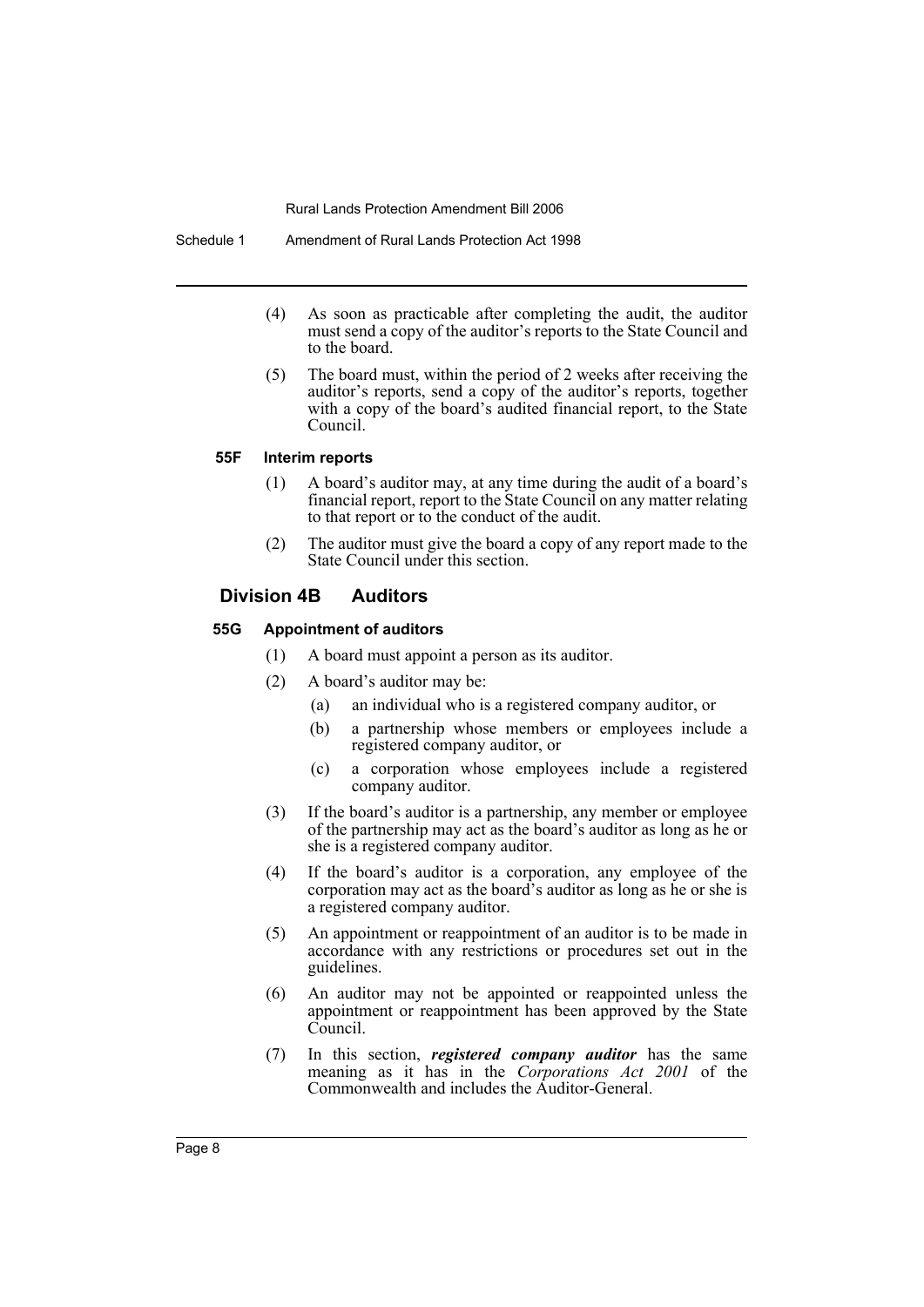Schedule 1 Amendment of Rural Lands Protection Act 1998

- (4) As soon as practicable after completing the audit, the auditor must send a copy of the auditor's reports to the State Council and to the board.
- (5) The board must, within the period of 2 weeks after receiving the auditor's reports, send a copy of the auditor's reports, together with a copy of the board's audited financial report, to the State Council.

#### **55F Interim reports**

- (1) A board's auditor may, at any time during the audit of a board's financial report, report to the State Council on any matter relating to that report or to the conduct of the audit.
- (2) The auditor must give the board a copy of any report made to the State Council under this section.

## **Division 4B Auditors**

#### **55G Appointment of auditors**

- (1) A board must appoint a person as its auditor.
- (2) A board's auditor may be:
	- (a) an individual who is a registered company auditor, or
	- (b) a partnership whose members or employees include a registered company auditor, or
	- (c) a corporation whose employees include a registered company auditor.
- (3) If the board's auditor is a partnership, any member or employee of the partnership may act as the board's auditor as long as he or she is a registered company auditor.
- (4) If the board's auditor is a corporation, any employee of the corporation may act as the board's auditor as long as he or she is a registered company auditor.
- (5) An appointment or reappointment of an auditor is to be made in accordance with any restrictions or procedures set out in the guidelines.
- (6) An auditor may not be appointed or reappointed unless the appointment or reappointment has been approved by the State Council.
- (7) In this section, *registered company auditor* has the same meaning as it has in the *Corporations Act 2001* of the Commonwealth and includes the Auditor-General.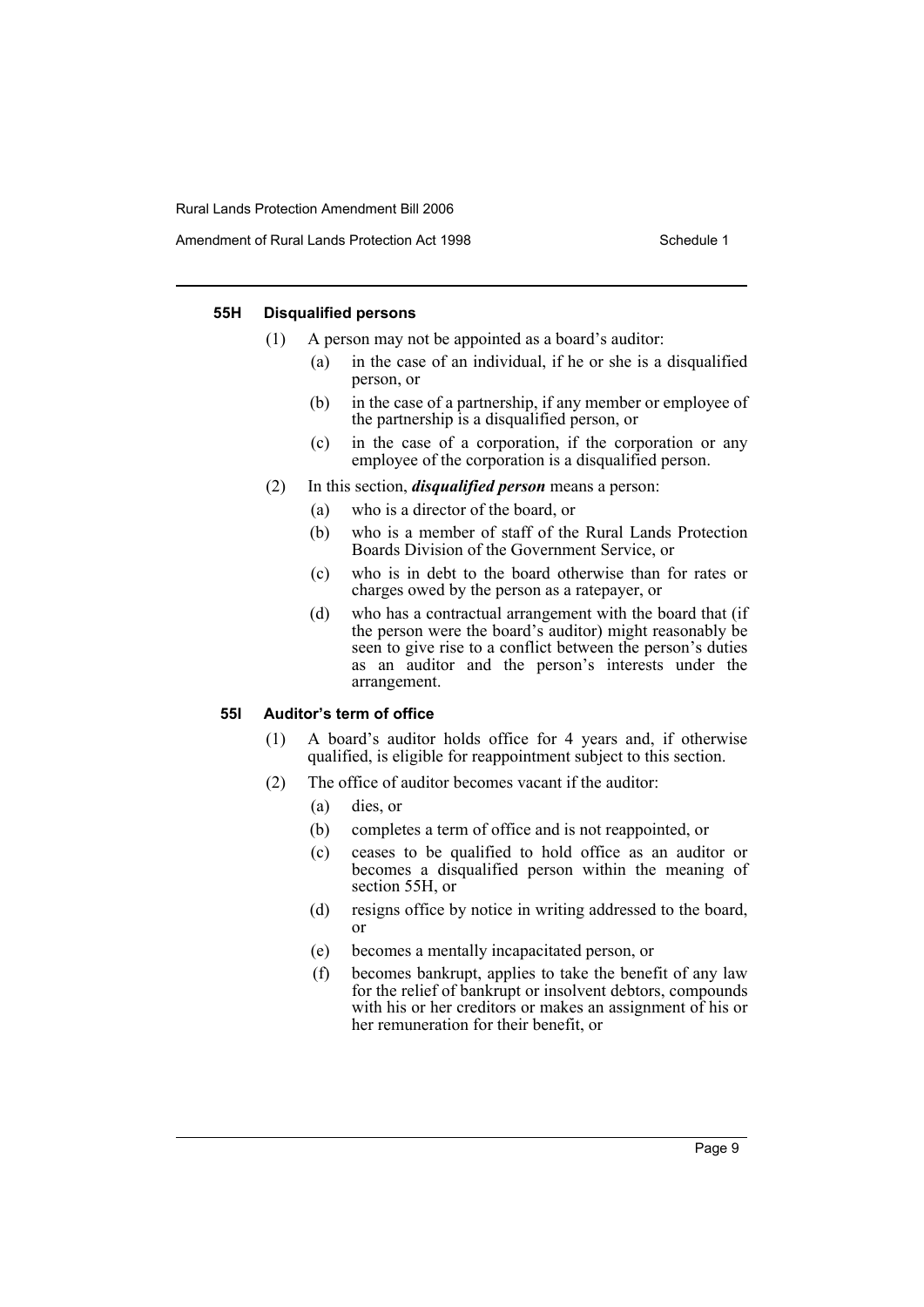Amendment of Rural Lands Protection Act 1998 Schedule 1

#### **55H Disqualified persons**

- (1) A person may not be appointed as a board's auditor:
	- (a) in the case of an individual, if he or she is a disqualified person, or
	- (b) in the case of a partnership, if any member or employee of the partnership is a disqualified person, or
	- (c) in the case of a corporation, if the corporation or any employee of the corporation is a disqualified person.
- (2) In this section, *disqualified person* means a person:
	- (a) who is a director of the board, or
	- (b) who is a member of staff of the Rural Lands Protection Boards Division of the Government Service, or
	- (c) who is in debt to the board otherwise than for rates or charges owed by the person as a ratepayer, or
	- (d) who has a contractual arrangement with the board that (if the person were the board's auditor) might reasonably be seen to give rise to a conflict between the person's duties as an auditor and the person's interests under the arrangement.

#### **55I Auditor's term of office**

- (1) A board's auditor holds office for 4 years and, if otherwise qualified, is eligible for reappointment subject to this section.
- (2) The office of auditor becomes vacant if the auditor:
	- (a) dies, or
	- (b) completes a term of office and is not reappointed, or
	- (c) ceases to be qualified to hold office as an auditor or becomes a disqualified person within the meaning of section 55H, or
	- (d) resigns office by notice in writing addressed to the board, or
	- (e) becomes a mentally incapacitated person, or
	- (f) becomes bankrupt, applies to take the benefit of any law for the relief of bankrupt or insolvent debtors, compounds with his or her creditors or makes an assignment of his or her remuneration for their benefit, or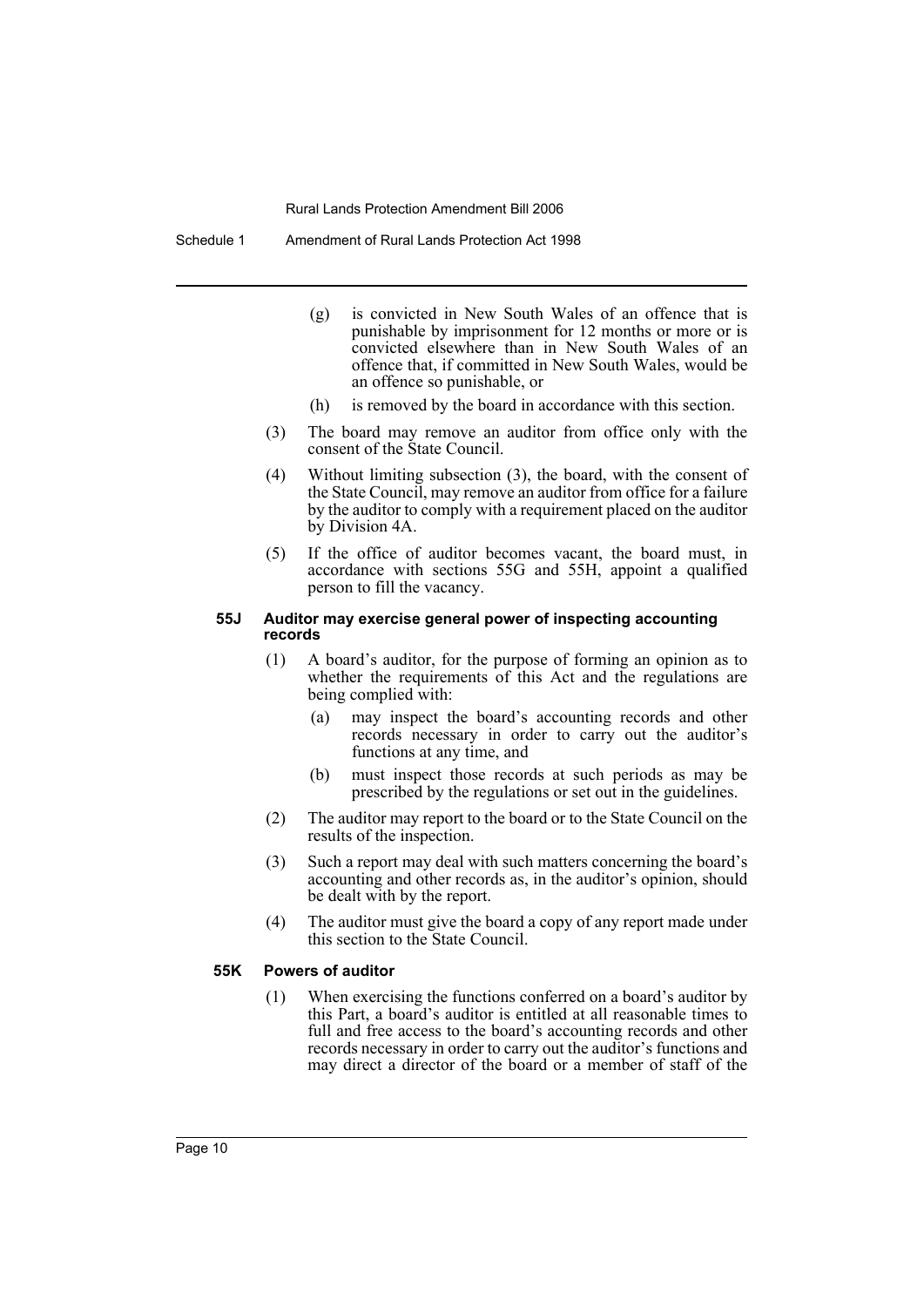Schedule 1 Amendment of Rural Lands Protection Act 1998

- (g) is convicted in New South Wales of an offence that is punishable by imprisonment for 12 months or more or is convicted elsewhere than in New South Wales of an offence that, if committed in New South Wales, would be an offence so punishable, or
- (h) is removed by the board in accordance with this section.
- (3) The board may remove an auditor from office only with the consent of the State Council.
- (4) Without limiting subsection (3), the board, with the consent of the State Council, may remove an auditor from office for a failure by the auditor to comply with a requirement placed on the auditor by Division 4A.
- (5) If the office of auditor becomes vacant, the board must, in accordance with sections 55G and 55H, appoint a qualified person to fill the vacancy.

#### **55J Auditor may exercise general power of inspecting accounting records**

- (1) A board's auditor, for the purpose of forming an opinion as to whether the requirements of this Act and the regulations are being complied with:
	- (a) may inspect the board's accounting records and other records necessary in order to carry out the auditor's functions at any time, and
	- (b) must inspect those records at such periods as may be prescribed by the regulations or set out in the guidelines.
- (2) The auditor may report to the board or to the State Council on the results of the inspection.
- (3) Such a report may deal with such matters concerning the board's accounting and other records as, in the auditor's opinion, should be dealt with by the report.
- (4) The auditor must give the board a copy of any report made under this section to the State Council.

#### **55K Powers of auditor**

(1) When exercising the functions conferred on a board's auditor by this Part, a board's auditor is entitled at all reasonable times to full and free access to the board's accounting records and other records necessary in order to carry out the auditor's functions and may direct a director of the board or a member of staff of the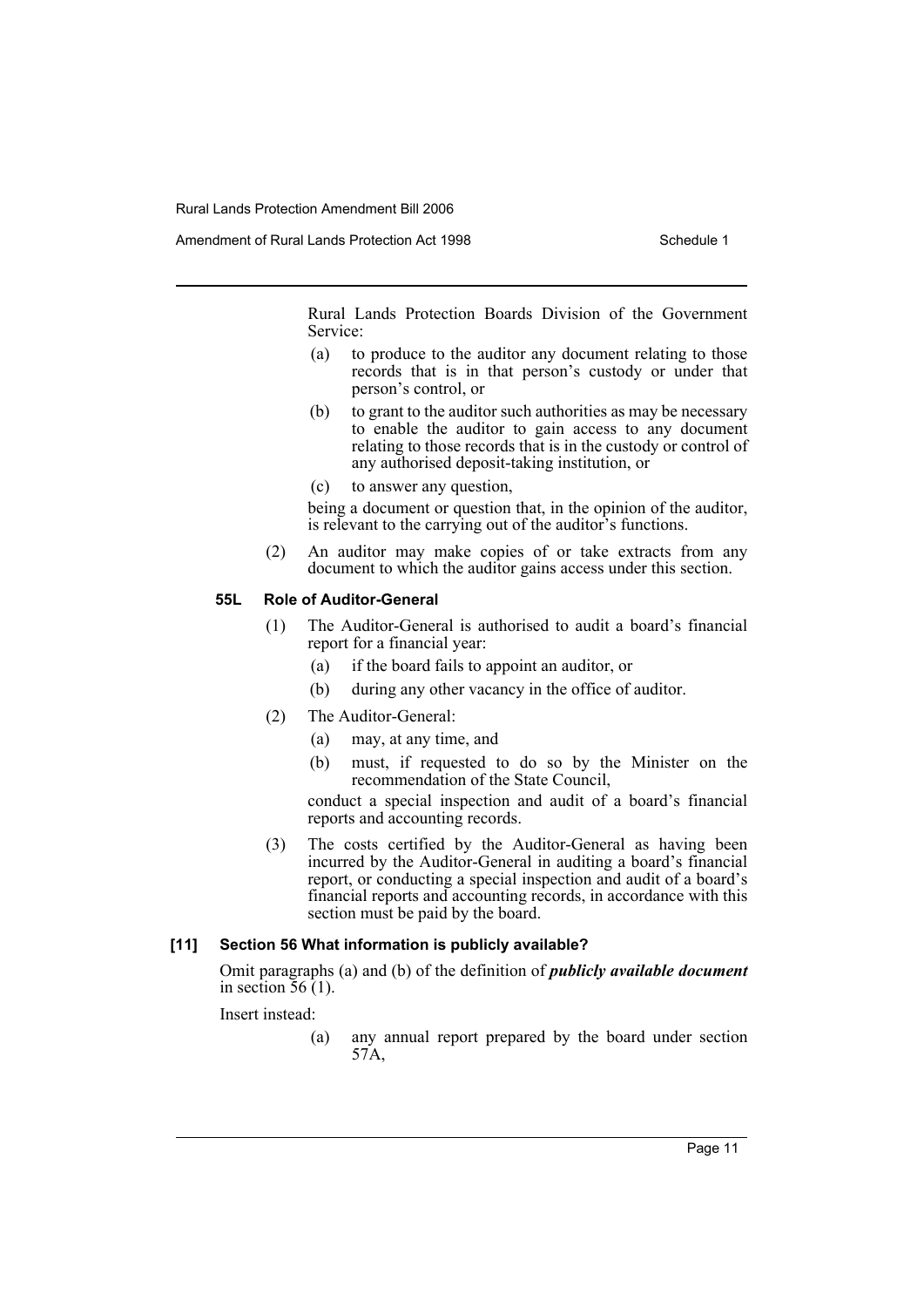Amendment of Rural Lands Protection Act 1998 Schedule 1

Rural Lands Protection Boards Division of the Government Service:

- (a) to produce to the auditor any document relating to those records that is in that person's custody or under that person's control, or
- (b) to grant to the auditor such authorities as may be necessary to enable the auditor to gain access to any document relating to those records that is in the custody or control of any authorised deposit-taking institution, or
- (c) to answer any question,

being a document or question that, in the opinion of the auditor, is relevant to the carrying out of the auditor's functions.

(2) An auditor may make copies of or take extracts from any document to which the auditor gains access under this section.

#### **55L Role of Auditor-General**

- (1) The Auditor-General is authorised to audit a board's financial report for a financial year:
	- (a) if the board fails to appoint an auditor, or
	- (b) during any other vacancy in the office of auditor.
- (2) The Auditor-General:
	- (a) may, at any time, and
	- (b) must, if requested to do so by the Minister on the recommendation of the State Council,

conduct a special inspection and audit of a board's financial reports and accounting records.

(3) The costs certified by the Auditor-General as having been incurred by the Auditor-General in auditing a board's financial report, or conducting a special inspection and audit of a board's financial reports and accounting records, in accordance with this section must be paid by the board.

#### **[11] Section 56 What information is publicly available?**

Omit paragraphs (a) and (b) of the definition of *publicly available document* in section  $\overline{56}$  (1).

Insert instead:

(a) any annual report prepared by the board under section 57A,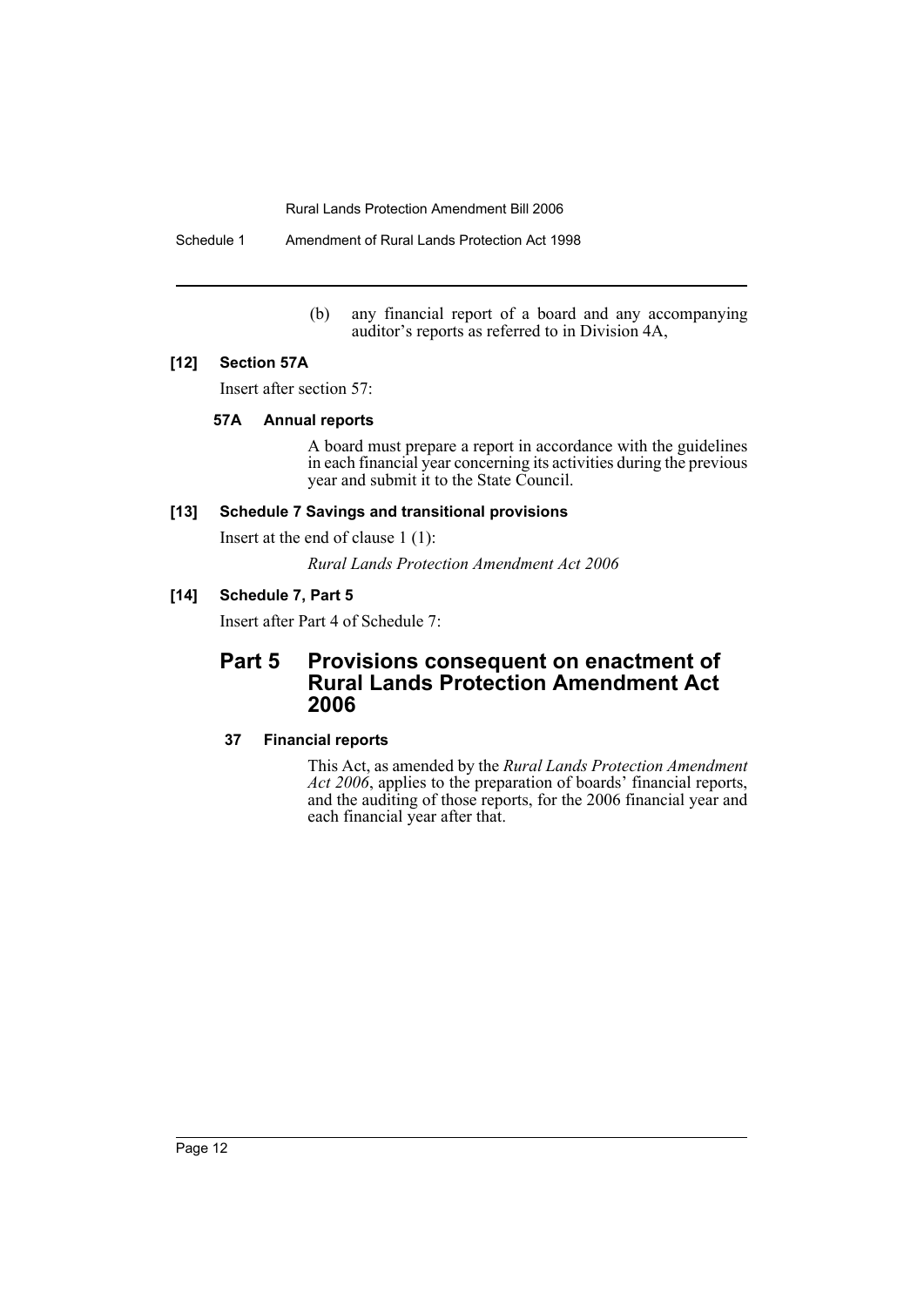Schedule 1 Amendment of Rural Lands Protection Act 1998

(b) any financial report of a board and any accompanying auditor's reports as referred to in Division 4A,

#### **[12] Section 57A**

Insert after section 57:

## **57A Annual reports**

A board must prepare a report in accordance with the guidelines in each financial year concerning its activities during the previous year and submit it to the State Council.

## **[13] Schedule 7 Savings and transitional provisions**

Insert at the end of clause 1 (1):

*Rural Lands Protection Amendment Act 2006*

## **[14] Schedule 7, Part 5**

Insert after Part 4 of Schedule 7:

## **Part 5 Provisions consequent on enactment of Rural Lands Protection Amendment Act 2006**

## **37 Financial reports**

This Act, as amended by the *Rural Lands Protection Amendment Act 2006*, applies to the preparation of boards' financial reports, and the auditing of those reports, for the 2006 financial year and each financial year after that.